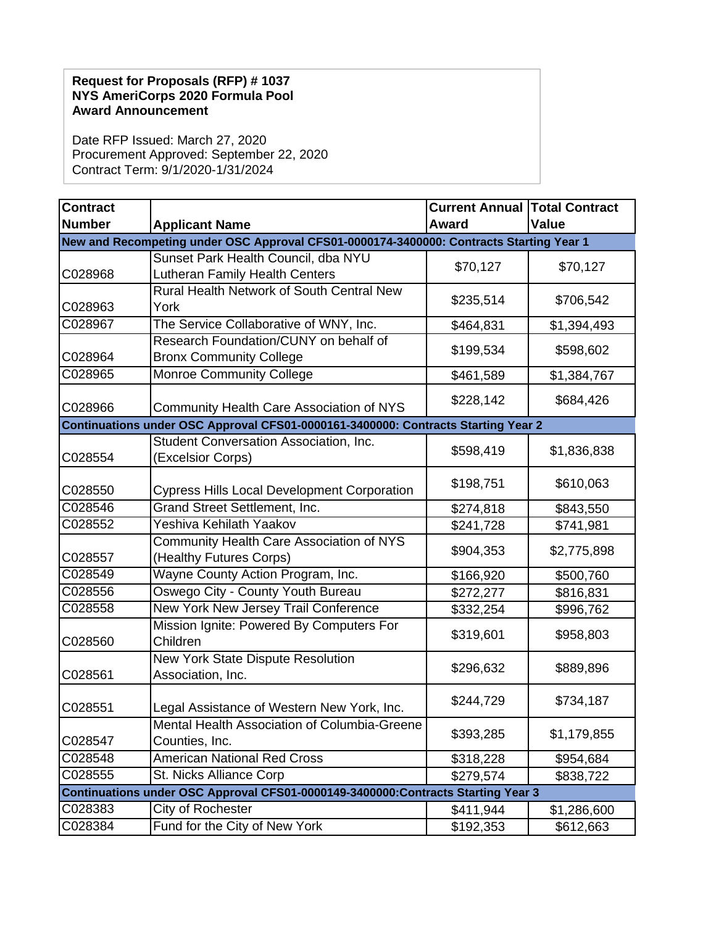## **Request for Proposals (RFP) # 1037 NYS AmeriCorps 2020 Formula Pool Award Announcement**

Date RFP Issued: March 27, 2020 Procurement Approved: September 22, 2020 Contract Term: 9/1/2020-1/31/2024

| <b>Contract</b>                                                                         |                                                                | <b>Current Annual Total Contract</b> |              |  |  |
|-----------------------------------------------------------------------------------------|----------------------------------------------------------------|--------------------------------------|--------------|--|--|
| <b>Number</b>                                                                           | <b>Applicant Name</b>                                          | Award                                | <b>Value</b> |  |  |
| New and Recompeting under OSC Approval CFS01-0000174-3400000: Contracts Starting Year 1 |                                                                |                                      |              |  |  |
|                                                                                         | Sunset Park Health Council, dba NYU                            | \$70,127                             | \$70,127     |  |  |
| C028968                                                                                 | <b>Lutheran Family Health Centers</b>                          |                                      |              |  |  |
| C028963                                                                                 | Rural Health Network of South Central New<br>York              | \$235,514                            | \$706,542    |  |  |
| C028967                                                                                 | The Service Collaborative of WNY, Inc.                         | \$464,831                            | \$1,394,493  |  |  |
|                                                                                         | Research Foundation/CUNY on behalf of                          |                                      |              |  |  |
| C028964                                                                                 | <b>Bronx Community College</b>                                 | \$199,534                            | \$598,602    |  |  |
| C028965                                                                                 | <b>Monroe Community College</b>                                | \$461,589                            | \$1,384,767  |  |  |
| C028966                                                                                 | <b>Community Health Care Association of NYS</b>                | \$228,142                            | \$684,426    |  |  |
| Continuations under OSC Approval CFS01-0000161-3400000: Contracts Starting Year 2       |                                                                |                                      |              |  |  |
| C028554                                                                                 | Student Conversation Association, Inc.<br>(Excelsior Corps)    | \$598,419                            | \$1,836,838  |  |  |
| C028550                                                                                 | <b>Cypress Hills Local Development Corporation</b>             | \$198,751                            | \$610,063    |  |  |
| C028546                                                                                 | Grand Street Settlement, Inc.                                  | \$274,818                            | \$843,550    |  |  |
| C028552                                                                                 | Yeshiva Kehilath Yaakov                                        | \$241,728                            | \$741,981    |  |  |
|                                                                                         | Community Health Care Association of NYS                       | \$904,353                            | \$2,775,898  |  |  |
| C028557                                                                                 | (Healthy Futures Corps)                                        |                                      |              |  |  |
| C028549                                                                                 | Wayne County Action Program, Inc.                              | \$166,920                            | \$500,760    |  |  |
| C028556                                                                                 | Oswego City - County Youth Bureau                              | \$272,277                            | \$816,831    |  |  |
| C028558                                                                                 | New York New Jersey Trail Conference                           | \$332,254                            | \$996,762    |  |  |
| C028560                                                                                 | Mission Ignite: Powered By Computers For<br>Children           | \$319,601                            | \$958,803    |  |  |
| C028561                                                                                 | New York State Dispute Resolution<br>Association, Inc.         | \$296,632                            | \$889,896    |  |  |
| C028551                                                                                 | Legal Assistance of Western New York, Inc.                     | \$244,729                            | \$734,187    |  |  |
| C028547                                                                                 | Mental Health Association of Columbia-Greene<br>Counties, Inc. | \$393,285                            | \$1,179,855  |  |  |
| C028548                                                                                 | <b>American National Red Cross</b>                             | \$318,228                            | \$954,684    |  |  |
| C028555                                                                                 | St. Nicks Alliance Corp                                        | \$279,574                            | \$838,722    |  |  |
| Continuations under OSC Approval CFS01-0000149-3400000:Contracts Starting Year 3        |                                                                |                                      |              |  |  |
| C028383                                                                                 | City of Rochester                                              | \$411,944                            | \$1,286,600  |  |  |
| C028384                                                                                 | Fund for the City of New York                                  | \$192,353                            | \$612,663    |  |  |